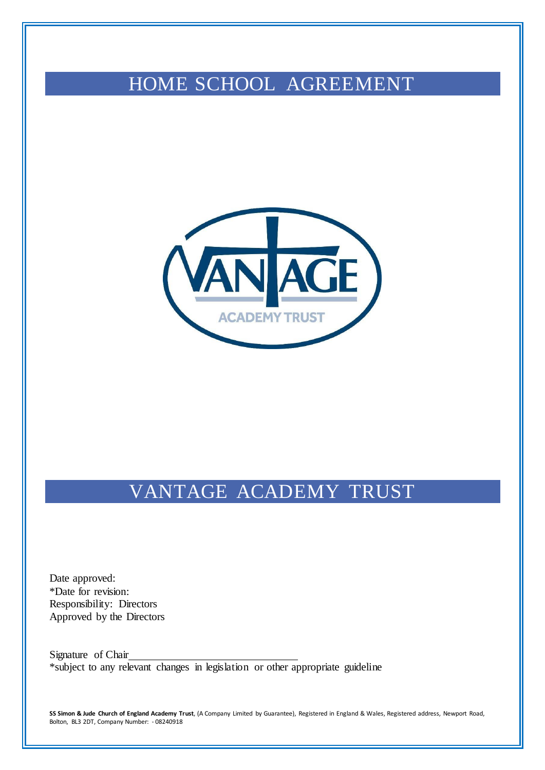# HOME SCHOOL AGREEMENT



# VANTAGE ACADEMY TRUST

Date approved: \*Date for revision: Responsibility: Directors Approved by the Directors

Signature of Chair \*subject to any relevant changes in legislation or other appropriate guideline

**SS Simon & Jude Church of England Academy Trust**, (A Company Limited by Guarantee), Registered in England & Wales, Registered address, Newport Road, Bolton, BL3 2DT, Company Number: - 08240918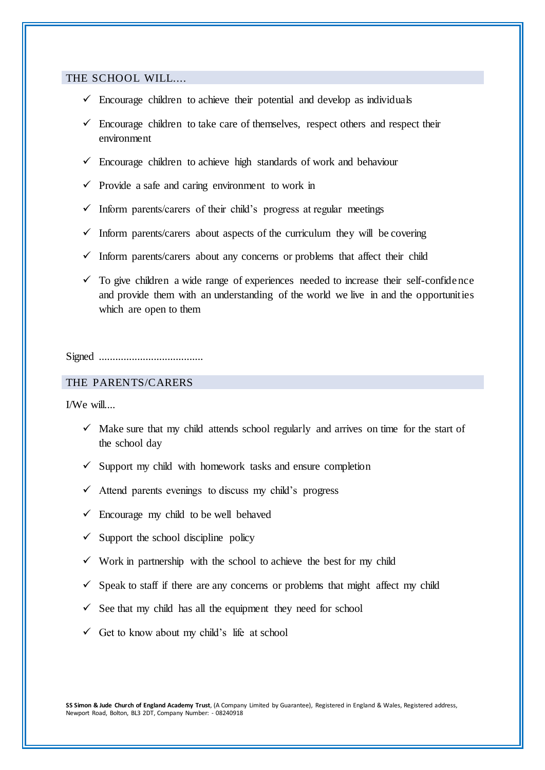### THE SCHOOL WILL....

- $\checkmark$  Encourage children to achieve their potential and develop as individuals
- $\checkmark$  Encourage children to take care of themselves, respect others and respect their environment
- $\checkmark$  Encourage children to achieve high standards of work and behaviour
- $\checkmark$  Provide a safe and caring environment to work in
- $\checkmark$  Inform parents/carers of their child's progress at regular meetings
- $\checkmark$  Inform parents/carers about aspects of the curriculum they will be covering
- $\checkmark$  Inform parents/carers about any concerns or problems that affect their child
- $\checkmark$  To give children a wide range of experiences needed to increase their self-confidence and provide them with an understanding of the world we live in and the opportunities which are open to them

#### Signed ......................................

## THE PARENTS/CARERS

I/We will....

- $\checkmark$  Make sure that my child attends school regularly and arrives on time for the start of the school day
- $\checkmark$  Support my child with homework tasks and ensure completion
- $\checkmark$  Attend parents evenings to discuss my child's progress
- $\checkmark$  Encourage my child to be well behaved
- $\checkmark$  Support the school discipline policy
- $\checkmark$  Work in partnership with the school to achieve the best for my child
- $\checkmark$  Speak to staff if there are any concerns or problems that might affect my child
- $\checkmark$  See that my child has all the equipment they need for school
- Get to know about my child's life at school

**SS Simon & Jude Church of England Academy Trust**, (A Company Limited by Guarantee), Registered in England & Wales, Registered address, Newport Road, Bolton, BL3 2DT, Company Number: - 08240918